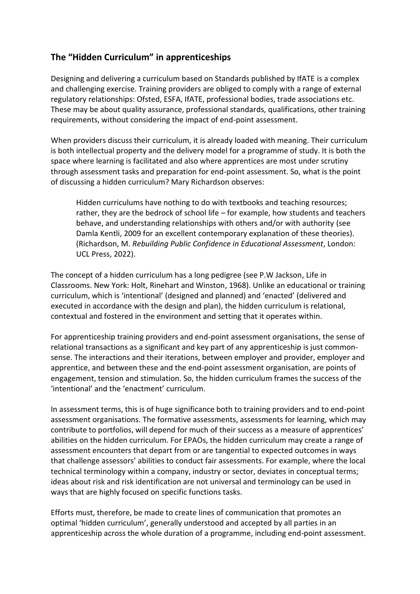## **The "Hidden Curriculum" in apprenticeships**

Designing and delivering a curriculum based on Standards published by IfATE is a complex and challenging exercise. Training providers are obliged to comply with a range of external regulatory relationships: Ofsted, ESFA, IfATE, professional bodies, trade associations etc. These may be about quality assurance, professional standards, qualifications, other training requirements, without considering the impact of end-point assessment.

When providers discuss their curriculum, it is already loaded with meaning. Their curriculum is both intellectual property and the delivery model for a programme of study. It is both the space where learning is facilitated and also where apprentices are most under scrutiny through assessment tasks and preparation for end-point assessment. So, what is the point of discussing a hidden curriculum? Mary Richardson observes:

Hidden curriculums have nothing to do with textbooks and teaching resources; rather, they are the bedrock of school life – for example, how students and teachers behave, and understanding relationships with others and/or with authority (see Damla Kentli, 2009 for an excellent contemporary explanation of these theories). (Richardson, M. *Rebuilding Public Confidence in Educational Assessment*, London: UCL Press, 2022).

The concept of a hidden curriculum has a long pedigree (see P.W Jackson, Life in Classrooms. New York: Holt, Rinehart and Winston, 1968). Unlike an educational or training curriculum, which is 'intentional' (designed and planned) and 'enacted' (delivered and executed in accordance with the design and plan), the hidden curriculum is relational, contextual and fostered in the environment and setting that it operates within.

For apprenticeship training providers and end-point assessment organisations, the sense of relational transactions as a significant and key part of any apprenticeship is just commonsense. The interactions and their iterations, between employer and provider, employer and apprentice, and between these and the end-point assessment organisation, are points of engagement, tension and stimulation. So, the hidden curriculum frames the success of the 'intentional' and the 'enactment' curriculum.

In assessment terms, this is of huge significance both to training providers and to end-point assessment organisations. The formative assessments, assessments for learning, which may contribute to portfolios, will depend for much of their success as a measure of apprentices' abilities on the hidden curriculum. For EPAOs, the hidden curriculum may create a range of assessment encounters that depart from or are tangential to expected outcomes in ways that challenge assessors' abilities to conduct fair assessments. For example, where the local technical terminology within a company, industry or sector, deviates in conceptual terms; ideas about risk and risk identification are not universal and terminology can be used in ways that are highly focused on specific functions tasks.

Efforts must, therefore, be made to create lines of communication that promotes an optimal 'hidden curriculum', generally understood and accepted by all parties in an apprenticeship across the whole duration of a programme, including end-point assessment.